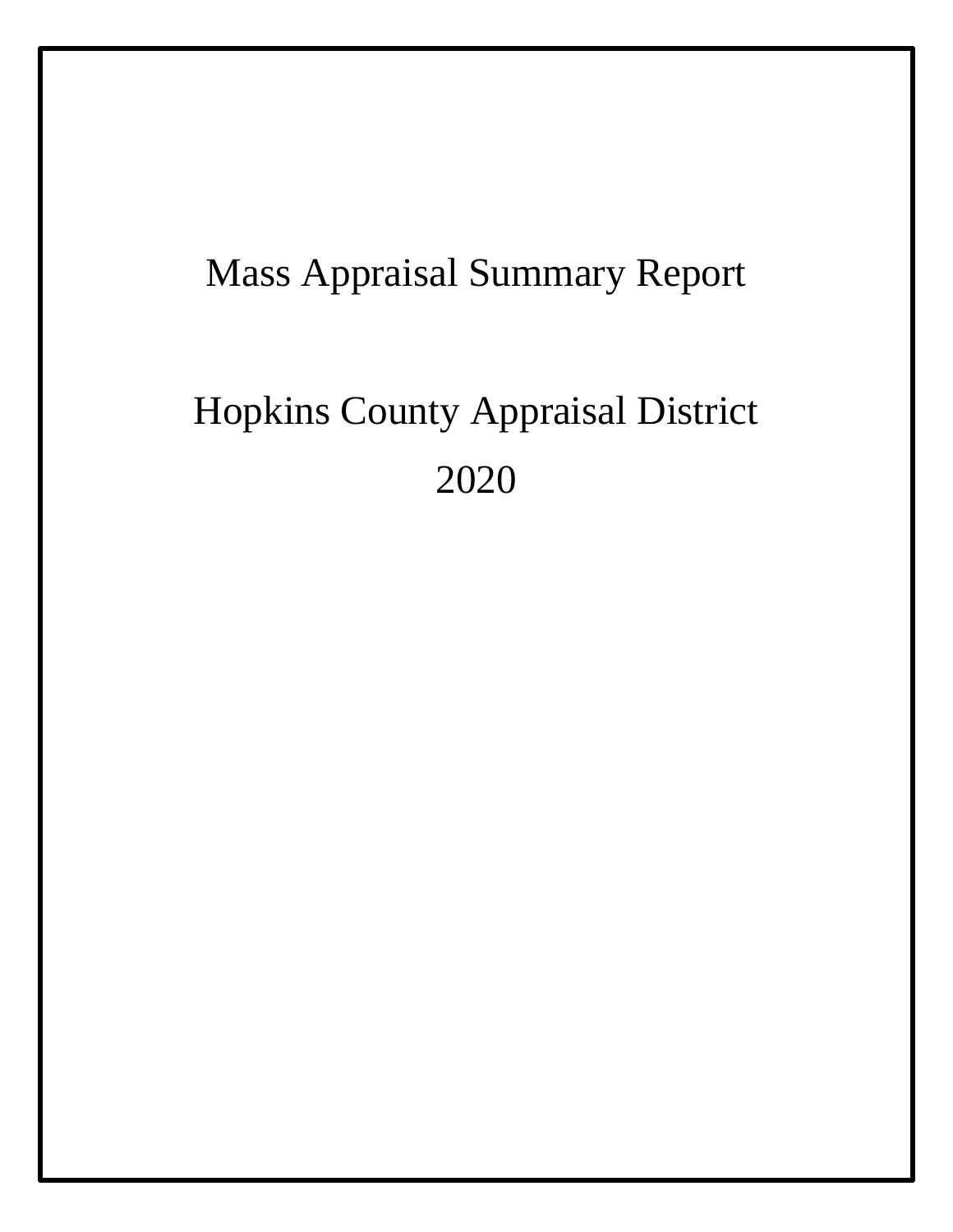## Mass Appraisal Summary Report

# Hopkins County Appraisal District 2020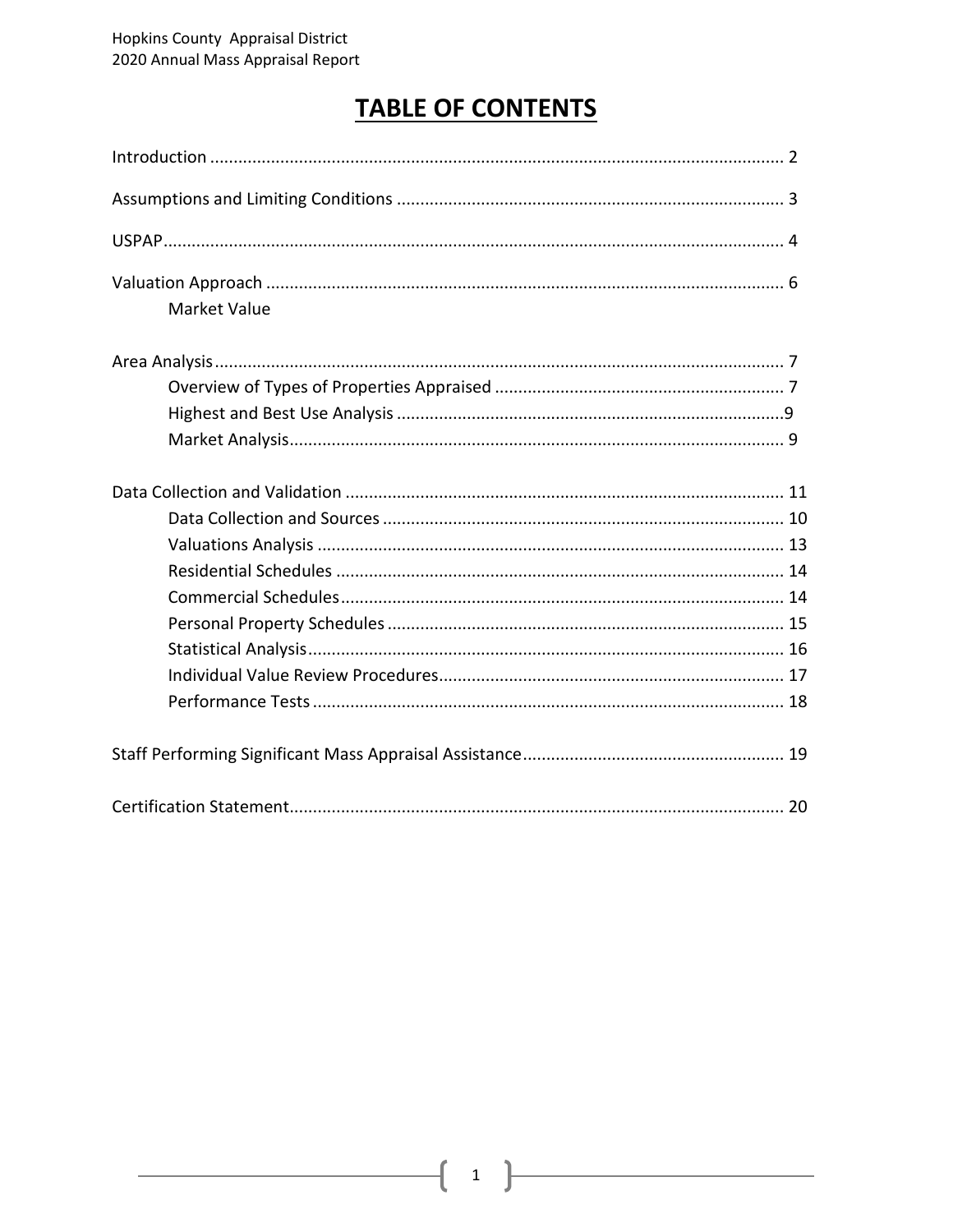### **TABLE OF CONTENTS**

| <b>Market Value</b> |  |
|---------------------|--|
|                     |  |
|                     |  |
|                     |  |
|                     |  |
|                     |  |
|                     |  |
|                     |  |
|                     |  |
|                     |  |
|                     |  |
|                     |  |
|                     |  |
|                     |  |
|                     |  |
|                     |  |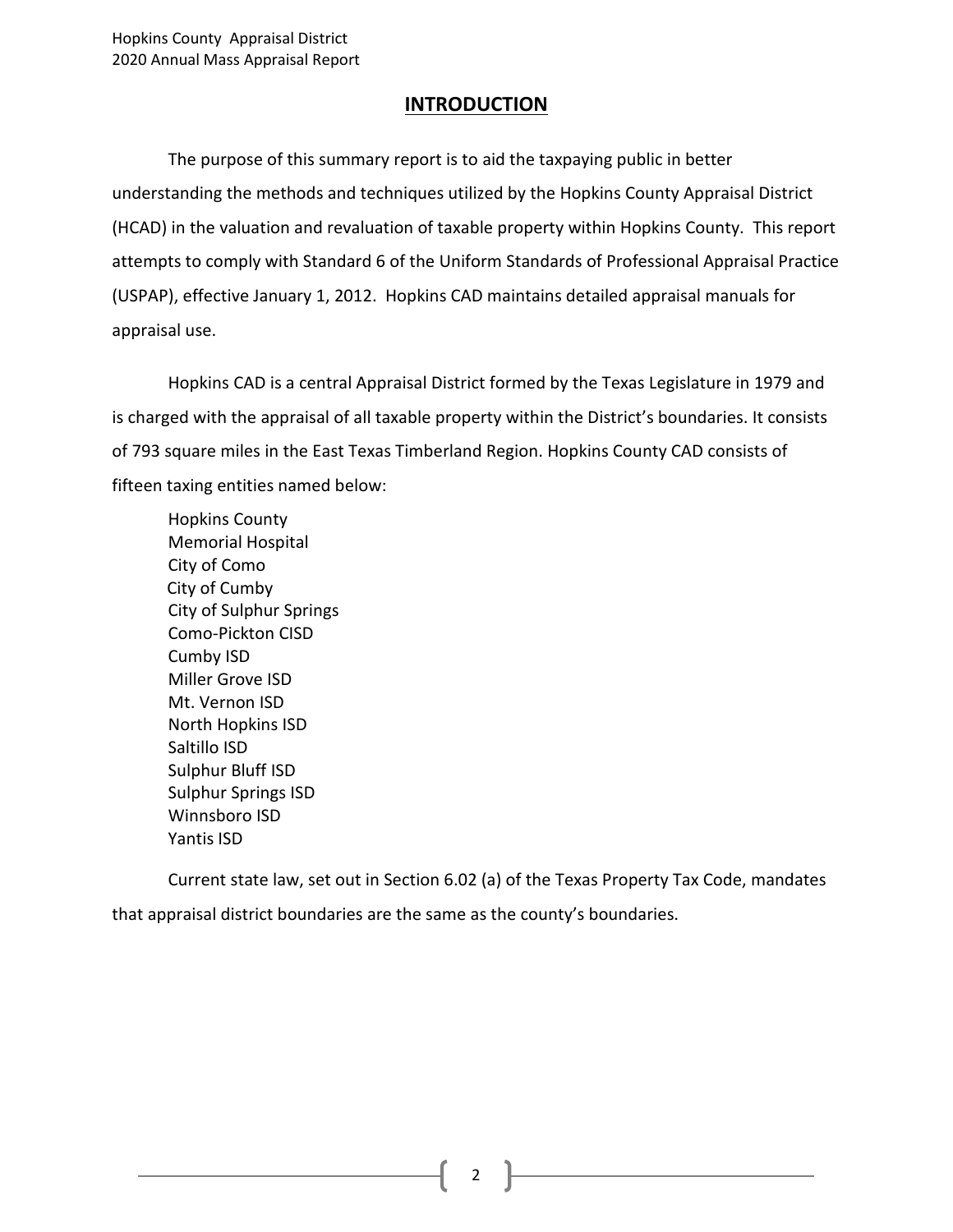#### **INTRODUCTION**

The purpose of this summary report is to aid the taxpaying public in better understanding the methods and techniques utilized by the Hopkins County Appraisal District (HCAD) in the valuation and revaluation of taxable property within Hopkins County. This report attempts to comply with Standard 6 of the Uniform Standards of Professional Appraisal Practice (USPAP), effective January 1, 2012. Hopkins CAD maintains detailed appraisal manuals for appraisal use.

Hopkins CAD is a central Appraisal District formed by the Texas Legislature in 1979 and is charged with the appraisal of all taxable property within the District's boundaries. It consists of 793 square miles in the East Texas Timberland Region. Hopkins County CAD consists of fifteen taxing entities named below:

Hopkins County Memorial Hospital City of Como City of Cumby City of Sulphur Springs Como-Pickton CISD Cumby ISD Miller Grove ISD Mt. Vernon ISD North Hopkins ISD Saltillo ISD Sulphur Bluff ISD Sulphur Springs ISD Winnsboro ISD Yantis ISD

Current state law, set out in Section 6.02 (a) of the Texas Property Tax Code, mandates that appraisal district boundaries are the same as the county's boundaries.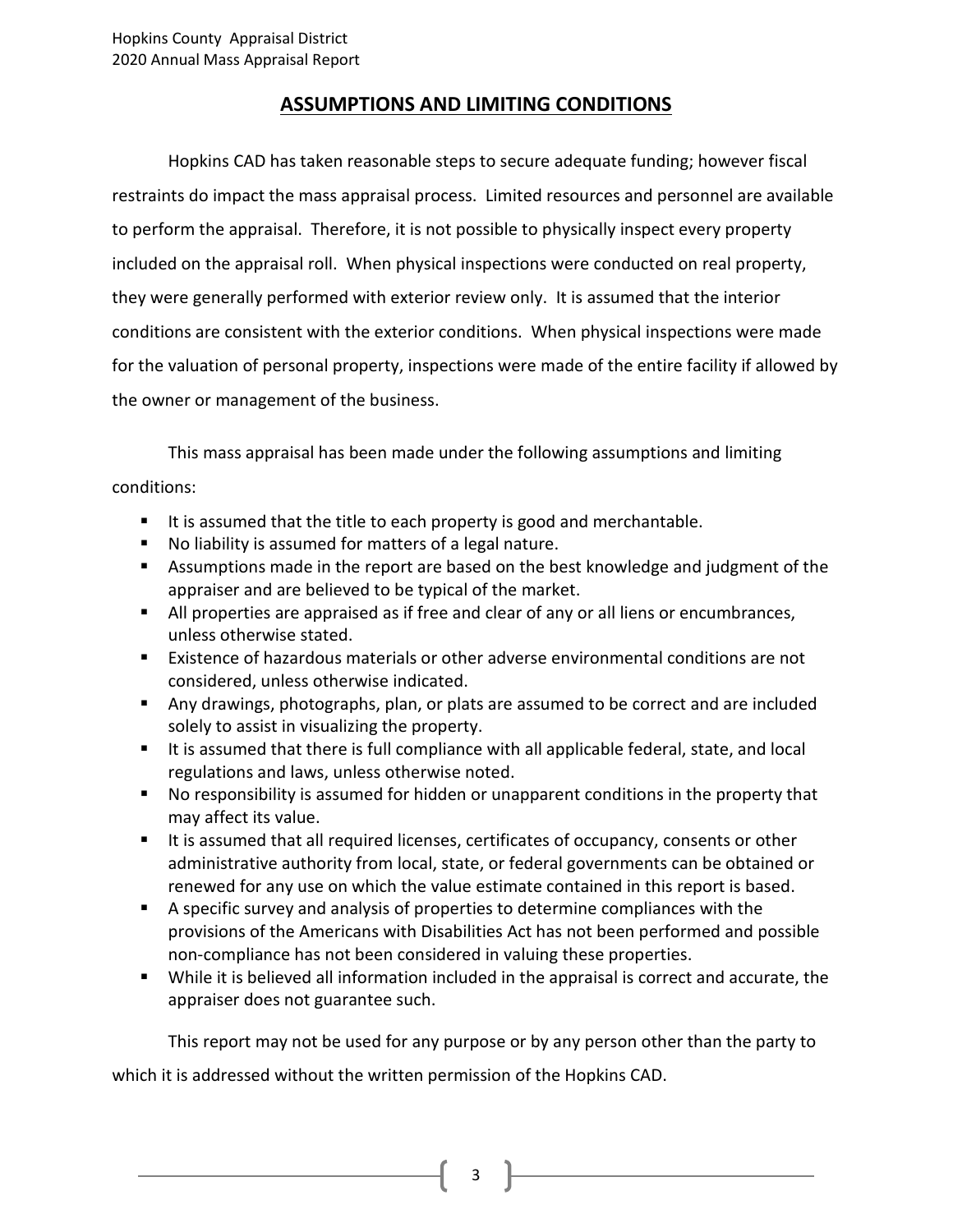#### **ASSUMPTIONS AND LIMITING CONDITIONS**

Hopkins CAD has taken reasonable steps to secure adequate funding; however fiscal restraints do impact the mass appraisal process. Limited resources and personnel are available to perform the appraisal. Therefore, it is not possible to physically inspect every property included on the appraisal roll. When physical inspections were conducted on real property, they were generally performed with exterior review only. It is assumed that the interior conditions are consistent with the exterior conditions. When physical inspections were made for the valuation of personal property, inspections were made of the entire facility if allowed by the owner or management of the business.

This mass appraisal has been made under the following assumptions and limiting conditions:

- It is assumed that the title to each property is good and merchantable.
- No liability is assumed for matters of a legal nature.
- Assumptions made in the report are based on the best knowledge and judgment of the appraiser and are believed to be typical of the market.
- All properties are appraised as if free and clear of any or all liens or encumbrances, unless otherwise stated.
- Existence of hazardous materials or other adverse environmental conditions are not considered, unless otherwise indicated.
- Any drawings, photographs, plan, or plats are assumed to be correct and are included solely to assist in visualizing the property.
- It is assumed that there is full compliance with all applicable federal, state, and local regulations and laws, unless otherwise noted.
- No responsibility is assumed for hidden or unapparent conditions in the property that may affect its value.
- It is assumed that all required licenses, certificates of occupancy, consents or other administrative authority from local, state, or federal governments can be obtained or renewed for any use on which the value estimate contained in this report is based.
- A specific survey and analysis of properties to determine compliances with the provisions of the Americans with Disabilities Act has not been performed and possible non-compliance has not been considered in valuing these properties.
- While it is believed all information included in the appraisal is correct and accurate, the appraiser does not guarantee such.

This report may not be used for any purpose or by any person other than the party to

which it is addressed without the written permission of the Hopkins CAD.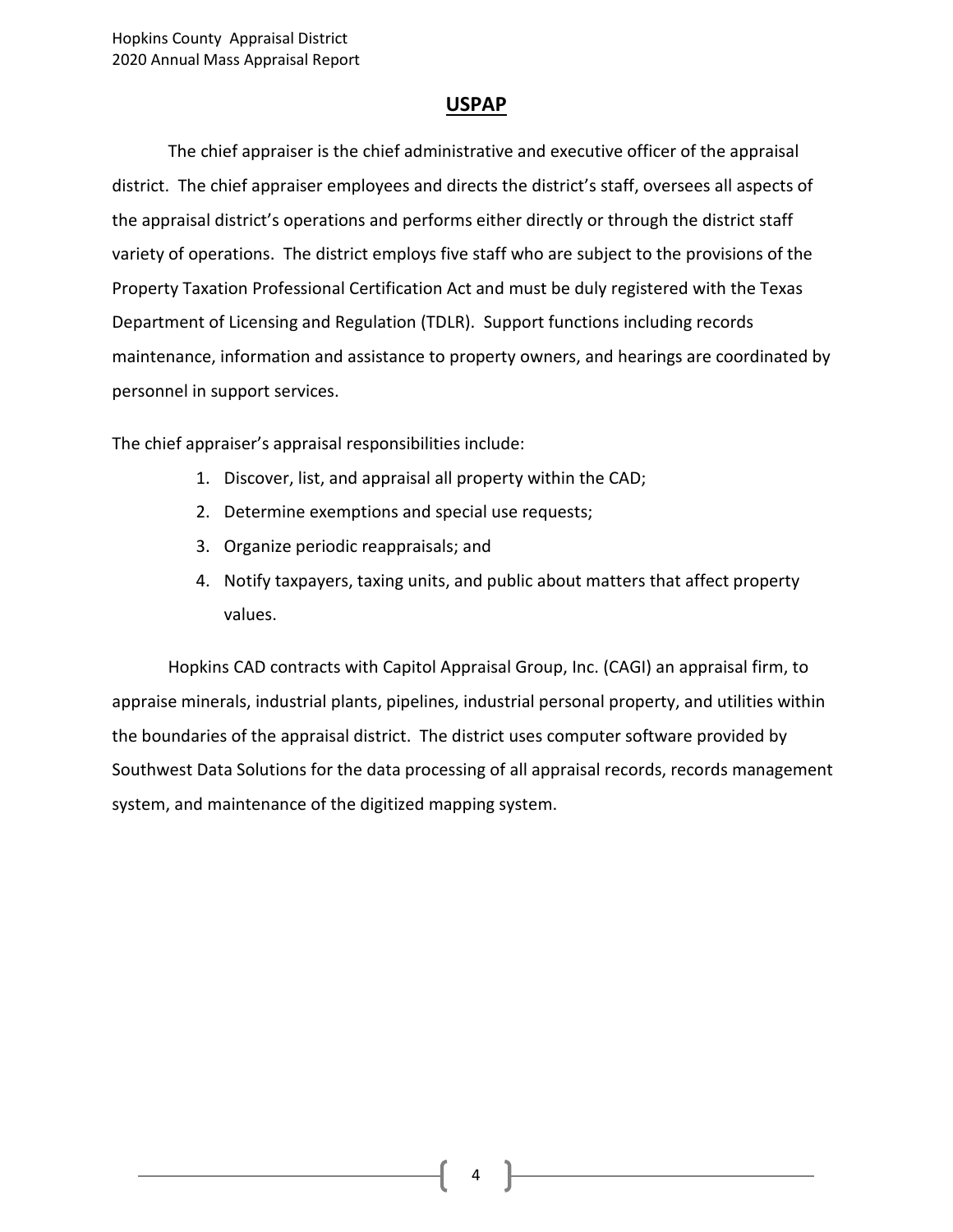#### **USPAP**

The chief appraiser is the chief administrative and executive officer of the appraisal district. The chief appraiser employees and directs the district's staff, oversees all aspects of the appraisal district's operations and performs either directly or through the district staff variety of operations. The district employs five staff who are subject to the provisions of the Property Taxation Professional Certification Act and must be duly registered with the Texas Department of Licensing and Regulation (TDLR). Support functions including records maintenance, information and assistance to property owners, and hearings are coordinated by personnel in support services.

The chief appraiser's appraisal responsibilities include:

- 1. Discover, list, and appraisal all property within the CAD;
- 2. Determine exemptions and special use requests;
- 3. Organize periodic reappraisals; and
- 4. Notify taxpayers, taxing units, and public about matters that affect property values.

Hopkins CAD contracts with Capitol Appraisal Group, Inc. (CAGI) an appraisal firm, to appraise minerals, industrial plants, pipelines, industrial personal property, and utilities within the boundaries of the appraisal district. The district uses computer software provided by Southwest Data Solutions for the data processing of all appraisal records, records management system, and maintenance of the digitized mapping system.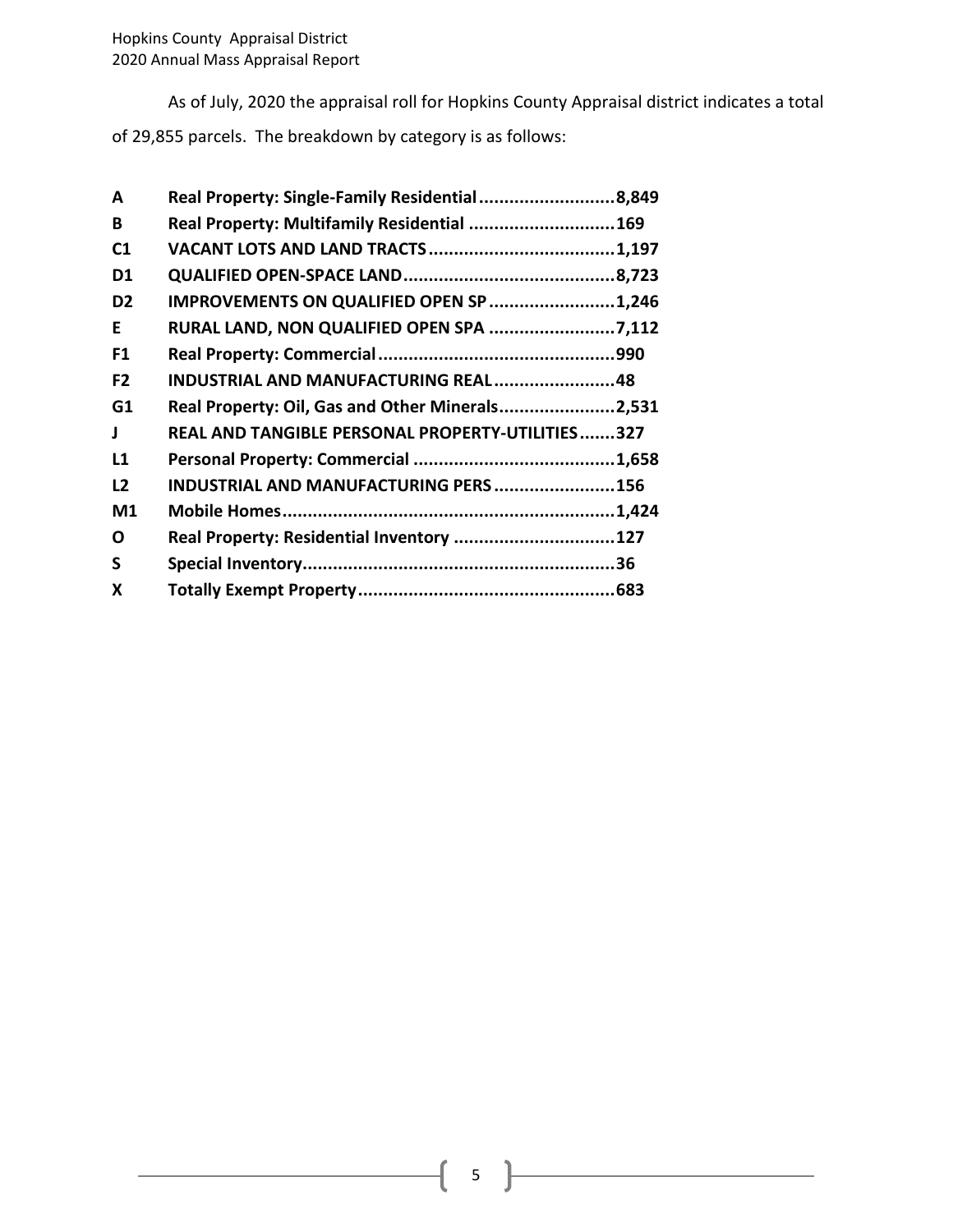As of July, 2020 the appraisal roll for Hopkins County Appraisal district indicates a total

of 29,855 parcels. The breakdown by category is as follows:

| A              | Real Property: Single-Family Residential8,849    |  |
|----------------|--------------------------------------------------|--|
| B              | Real Property: Multifamily Residential 169       |  |
| C <sub>1</sub> |                                                  |  |
| D1             |                                                  |  |
| D <sub>2</sub> | IMPROVEMENTS ON QUALIFIED OPEN SP 1,246          |  |
| E              | RURAL LAND, NON QUALIFIED OPEN SPA 7,112         |  |
| F1             |                                                  |  |
| F <sub>2</sub> | INDUSTRIAL AND MANUFACTURING REAL48              |  |
| G1             | Real Property: Oil, Gas and Other Minerals2,531  |  |
| J              | REAL AND TANGIBLE PERSONAL PROPERTY-UTILITIES327 |  |
| L1             |                                                  |  |
| L2             | INDUSTRIAL AND MANUFACTURING PERS156             |  |
| M <sub>1</sub> |                                                  |  |
| O              | Real Property: Residential Inventory 127         |  |
| S              |                                                  |  |
| X              |                                                  |  |
|                |                                                  |  |

 $5 \}$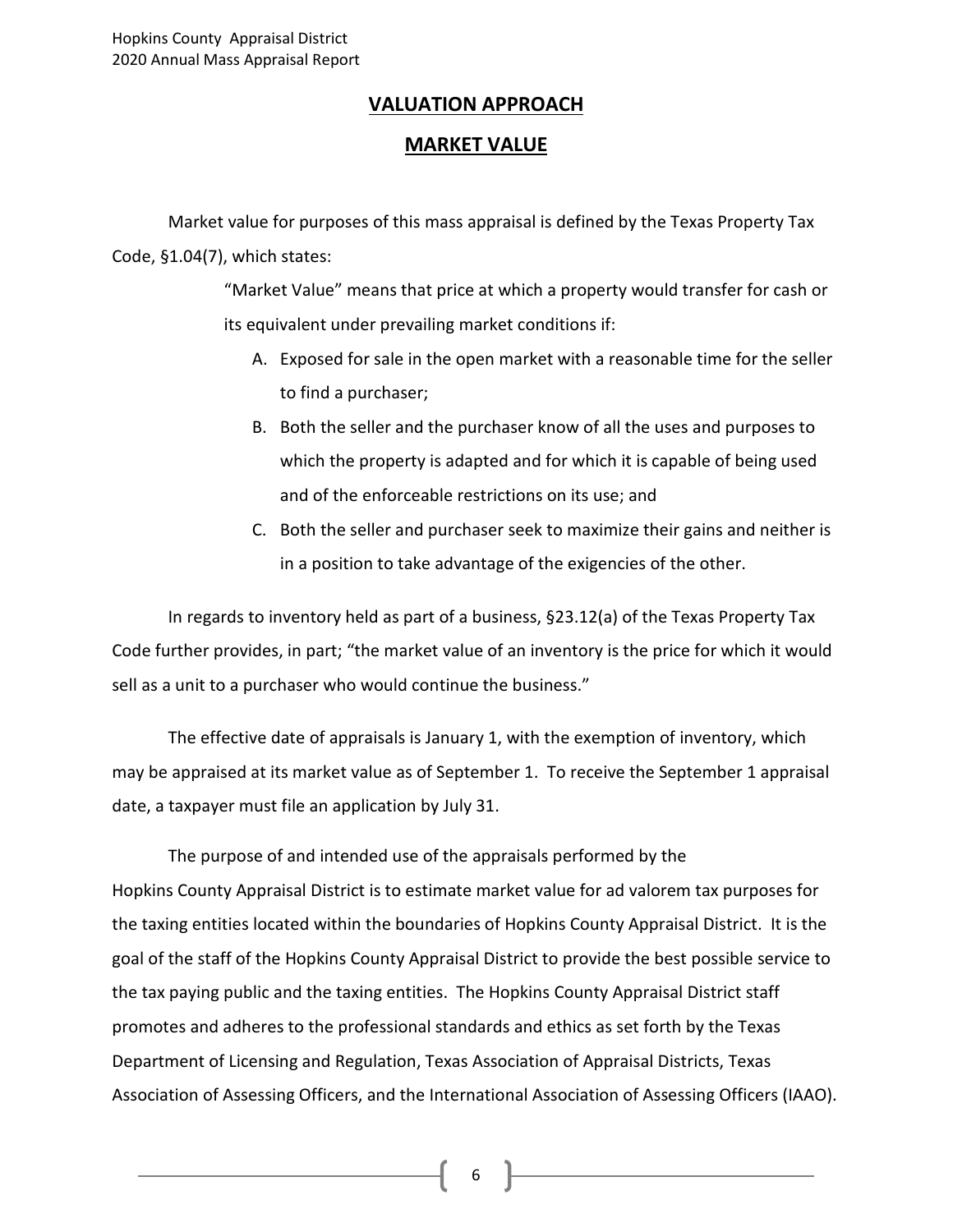#### **VALUATION APPROACH**

#### **MARKET VALUE**

Market value for purposes of this mass appraisal is defined by the Texas Property Tax Code, §1.04(7), which states:

> "Market Value" means that price at which a property would transfer for cash or its equivalent under prevailing market conditions if:

- A. Exposed for sale in the open market with a reasonable time for the seller to find a purchaser;
- B. Both the seller and the purchaser know of all the uses and purposes to which the property is adapted and for which it is capable of being used and of the enforceable restrictions on its use; and
- C. Both the seller and purchaser seek to maximize their gains and neither is in a position to take advantage of the exigencies of the other.

In regards to inventory held as part of a business, §23.12(a) of the Texas Property Tax Code further provides, in part; "the market value of an inventory is the price for which it would sell as a unit to a purchaser who would continue the business."

The effective date of appraisals is January 1, with the exemption of inventory, which may be appraised at its market value as of September 1. To receive the September 1 appraisal date, a taxpayer must file an application by July 31.

The purpose of and intended use of the appraisals performed by the Hopkins County Appraisal District is to estimate market value for ad valorem tax purposes for the taxing entities located within the boundaries of Hopkins County Appraisal District. It is the goal of the staff of the Hopkins County Appraisal District to provide the best possible service to the tax paying public and the taxing entities. The Hopkins County Appraisal District staff promotes and adheres to the professional standards and ethics as set forth by the Texas Department of Licensing and Regulation, Texas Association of Appraisal Districts, Texas Association of Assessing Officers, and the International Association of Assessing Officers (IAAO).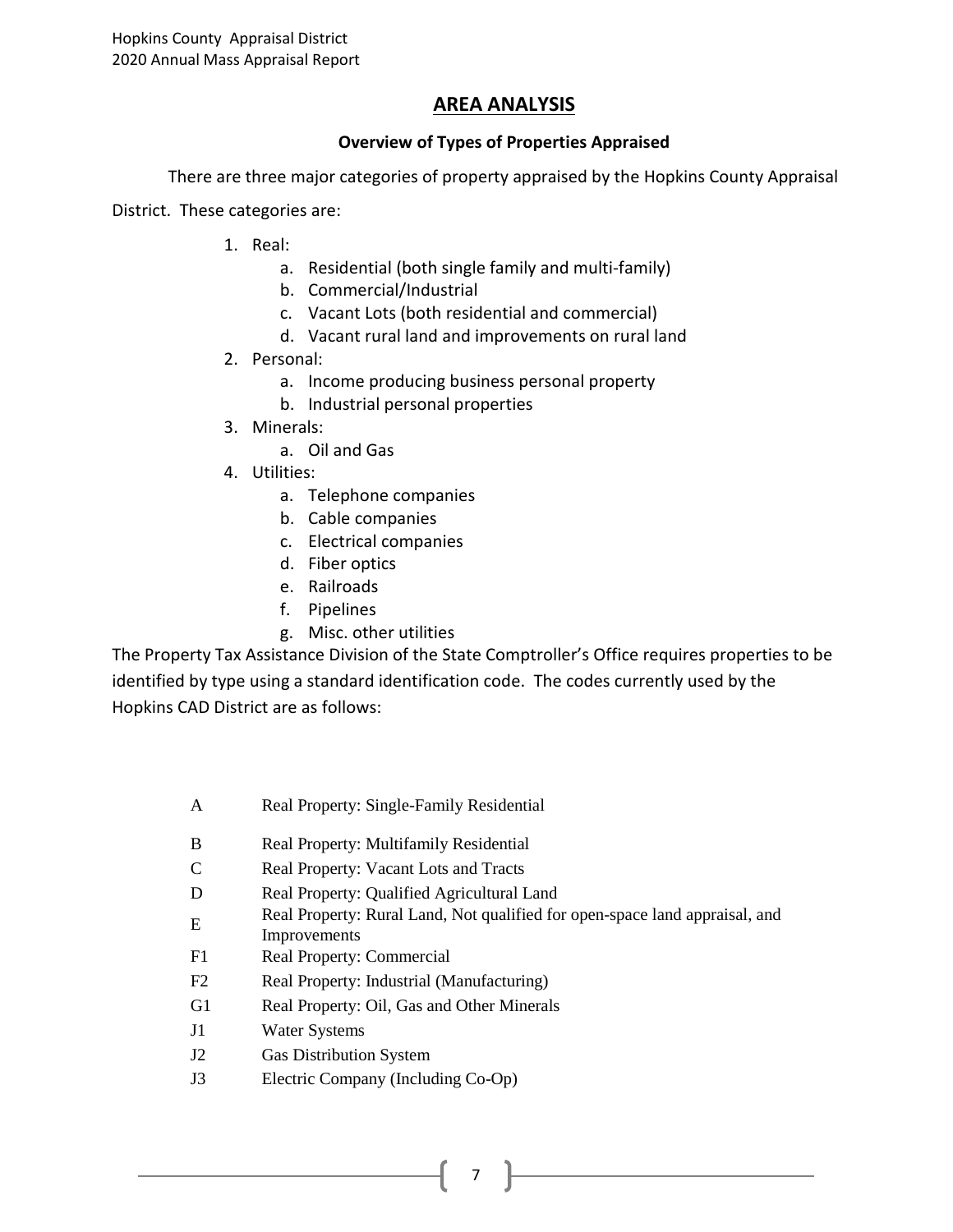#### **AREA ANALYSIS**

#### **Overview of Types of Properties Appraised**

There are three major categories of property appraised by the Hopkins County Appraisal

District. These categories are:

- 1. Real:
	- a. Residential (both single family and multi-family)
	- b. Commercial/Industrial
	- c. Vacant Lots (both residential and commercial)
	- d. Vacant rural land and improvements on rural land
- 2. Personal:
	- a. Income producing business personal property
	- b. Industrial personal properties
- 3. Minerals:
	- a. Oil and Gas
- 4. Utilities:
	- a. Telephone companies
	- b. Cable companies
	- c. Electrical companies
	- d. Fiber optics
	- e. Railroads
	- f. Pipelines
	- g. Misc. other utilities

The Property Tax Assistance Division of the State Comptroller's Office requires properties to be identified by type using a standard identification code. The codes currently used by the Hopkins CAD District are as follows:

- A Real Property: Single-Family Residential
- B Real Property: Multifamily Residential
- C Real Property: Vacant Lots and Tracts
- D Real Property: Qualified Agricultural Land
- Real Property: Rural Land, Not qualified for open-space land appraisal, and
- Improvements
- F1 Real Property: Commercial
- F2 Real Property: Industrial (Manufacturing)
- G1 Real Property: Oil, Gas and Other Minerals
- J1 Water Systems
- J2 Gas Distribution System
- J3 Electric Company (Including Co-Op)

7 |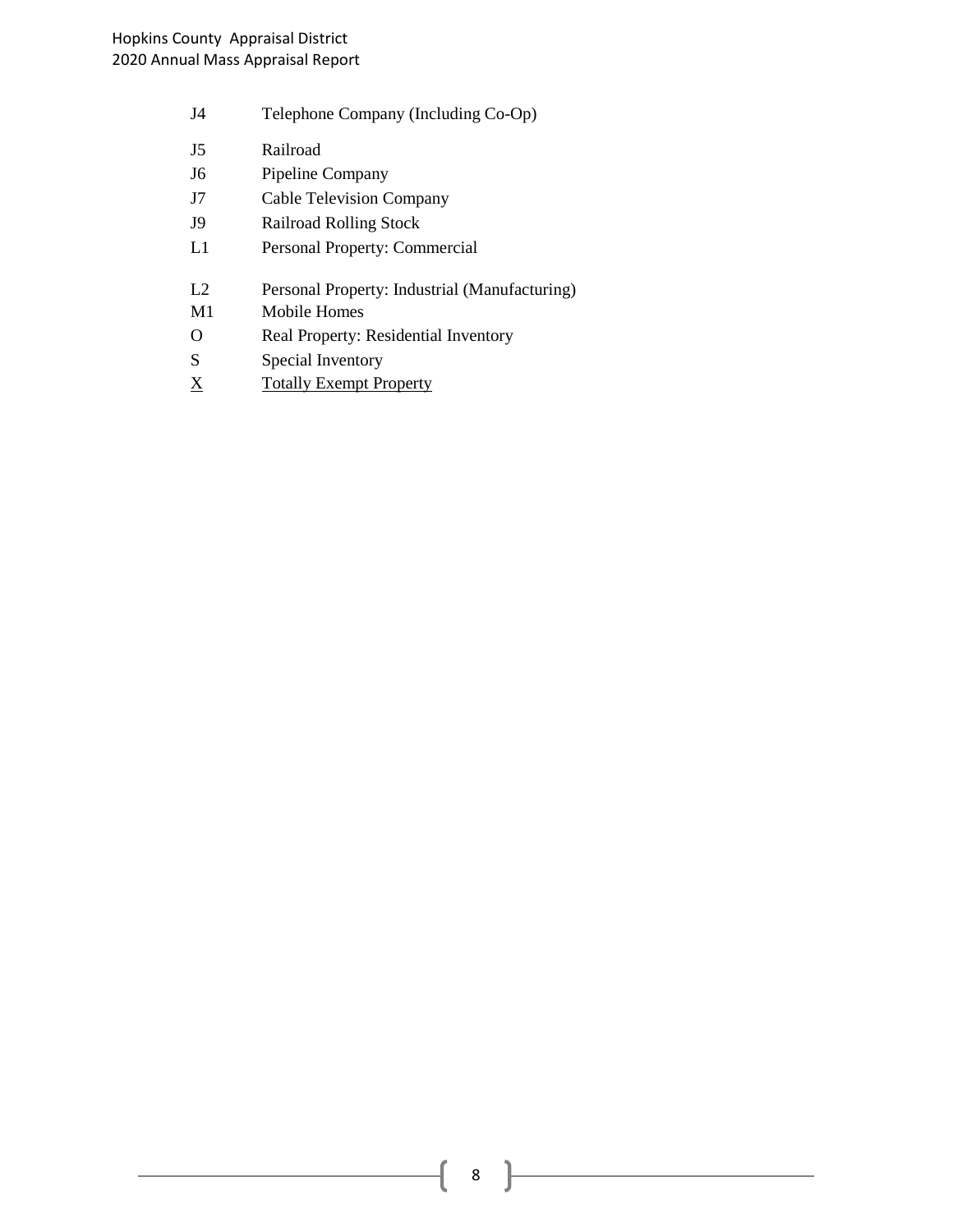- J4 Telephone Company (Including Co-Op)
- J5 Railroad
- J6 Pipeline Company
- J7 Cable Television Company
- J9 Railroad Rolling Stock
- L1 Personal Property: Commercial
- L2 Personal Property: Industrial (Manufacturing)
- M1 Mobile Homes
- O Real Property: Residential Inventory
- S Special Inventory
- X Totally Exempt Property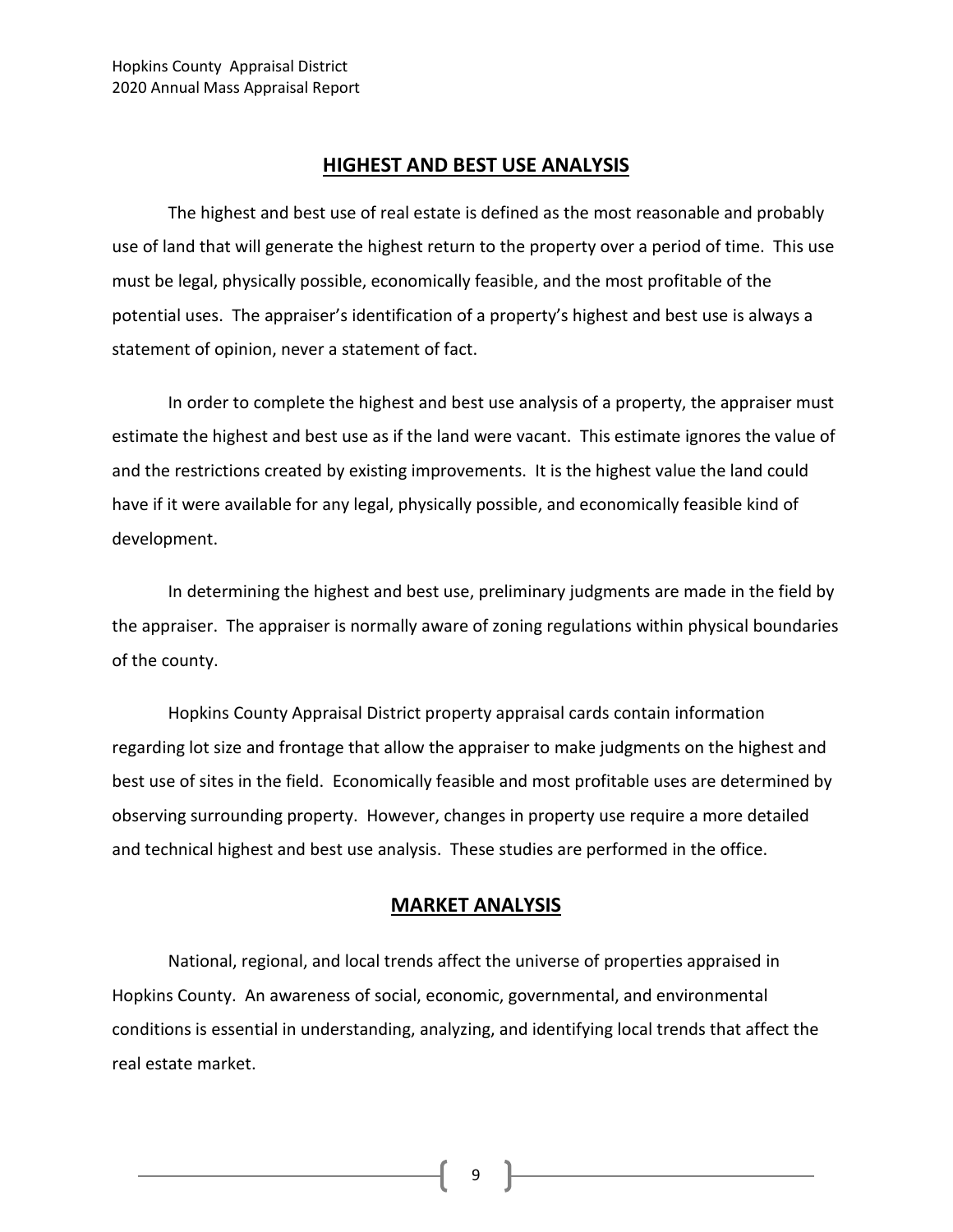#### **HIGHEST AND BEST USE ANALYSIS**

The highest and best use of real estate is defined as the most reasonable and probably use of land that will generate the highest return to the property over a period of time. This use must be legal, physically possible, economically feasible, and the most profitable of the potential uses. The appraiser's identification of a property's highest and best use is always a statement of opinion, never a statement of fact.

In order to complete the highest and best use analysis of a property, the appraiser must estimate the highest and best use as if the land were vacant. This estimate ignores the value of and the restrictions created by existing improvements. It is the highest value the land could have if it were available for any legal, physically possible, and economically feasible kind of development.

In determining the highest and best use, preliminary judgments are made in the field by the appraiser. The appraiser is normally aware of zoning regulations within physical boundaries of the county.

Hopkins County Appraisal District property appraisal cards contain information regarding lot size and frontage that allow the appraiser to make judgments on the highest and best use of sites in the field. Economically feasible and most profitable uses are determined by observing surrounding property. However, changes in property use require a more detailed and technical highest and best use analysis. These studies are performed in the office.

#### **MARKET ANALYSIS**

National, regional, and local trends affect the universe of properties appraised in Hopkins County. An awareness of social, economic, governmental, and environmental conditions is essential in understanding, analyzing, and identifying local trends that affect the real estate market.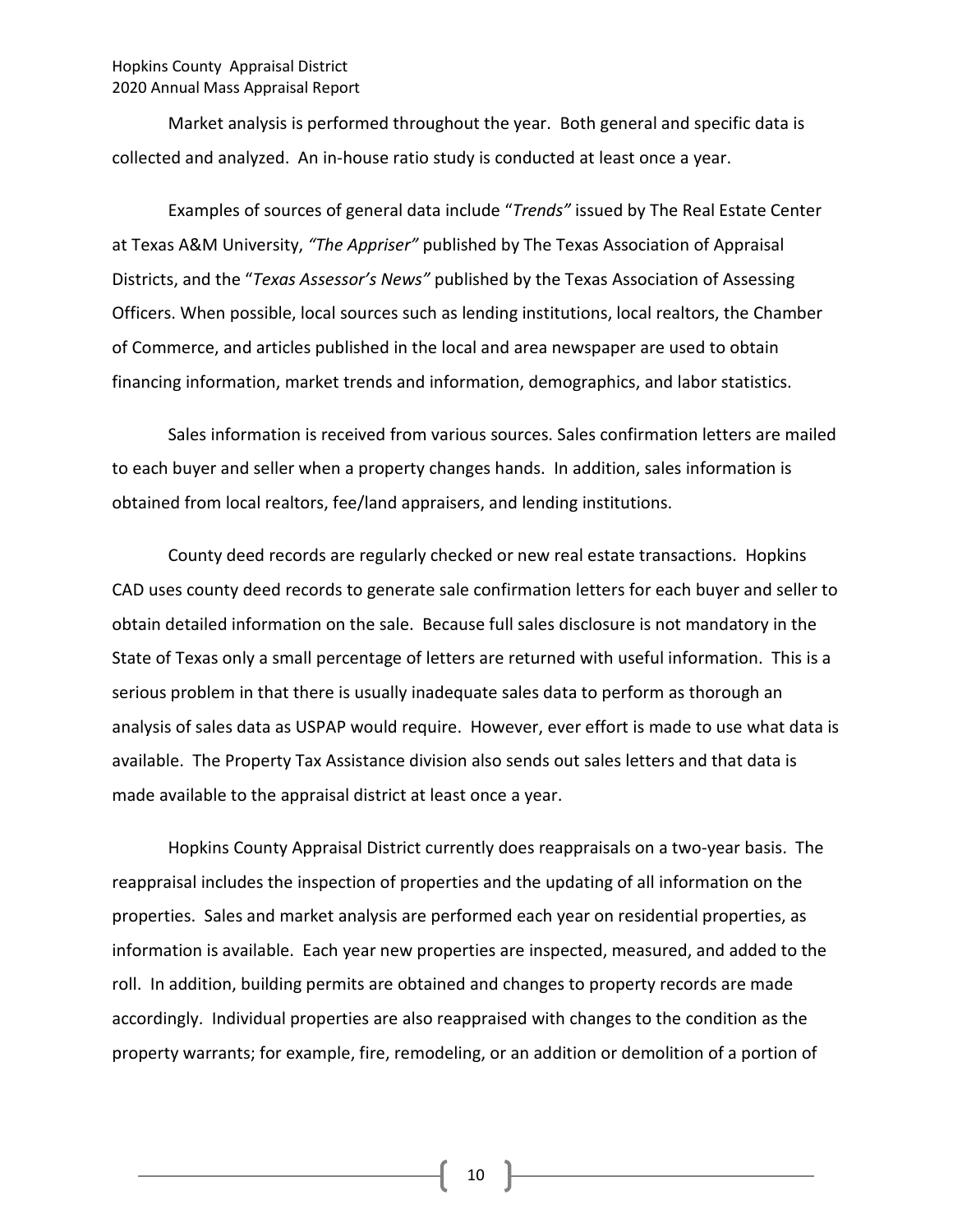#### Hopkins County Appraisal District 2020 Annual Mass Appraisal Report

Market analysis is performed throughout the year. Both general and specific data is collected and analyzed. An in-house ratio study is conducted at least once a year.

Examples of sources of general data include "*Trends"* issued by The Real Estate Center at Texas A&M University, *"The Appriser"* published by The Texas Association of Appraisal Districts, and the "*Texas Assessor's News"* published by the Texas Association of Assessing Officers. When possible, local sources such as lending institutions, local realtors, the Chamber of Commerce, and articles published in the local and area newspaper are used to obtain financing information, market trends and information, demographics, and labor statistics.

Sales information is received from various sources. Sales confirmation letters are mailed to each buyer and seller when a property changes hands. In addition, sales information is obtained from local realtors, fee/land appraisers, and lending institutions.

County deed records are regularly checked or new real estate transactions. Hopkins CAD uses county deed records to generate sale confirmation letters for each buyer and seller to obtain detailed information on the sale. Because full sales disclosure is not mandatory in the State of Texas only a small percentage of letters are returned with useful information. This is a serious problem in that there is usually inadequate sales data to perform as thorough an analysis of sales data as USPAP would require. However, ever effort is made to use what data is available. The Property Tax Assistance division also sends out sales letters and that data is made available to the appraisal district at least once a year.

Hopkins County Appraisal District currently does reappraisals on a two-year basis. The reappraisal includes the inspection of properties and the updating of all information on the properties. Sales and market analysis are performed each year on residential properties, as information is available. Each year new properties are inspected, measured, and added to the roll. In addition, building permits are obtained and changes to property records are made accordingly. Individual properties are also reappraised with changes to the condition as the property warrants; for example, fire, remodeling, or an addition or demolition of a portion of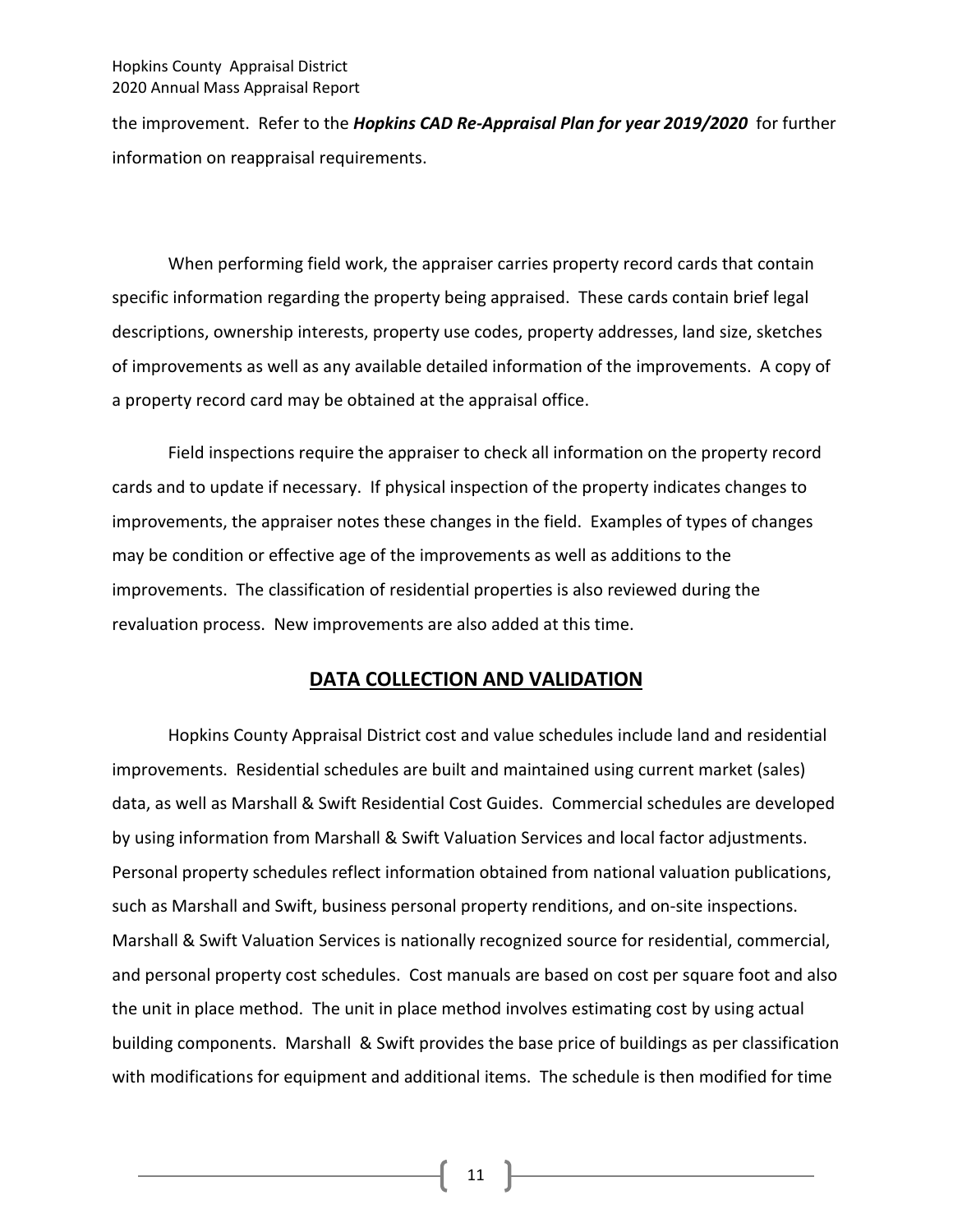#### Hopkins County Appraisal District 2020 Annual Mass Appraisal Report

the improvement. Refer to the *Hopkins CAD Re-Appraisal Plan for year 2019/2020* for further information on reappraisal requirements.

When performing field work, the appraiser carries property record cards that contain specific information regarding the property being appraised. These cards contain brief legal descriptions, ownership interests, property use codes, property addresses, land size, sketches of improvements as well as any available detailed information of the improvements. A copy of a property record card may be obtained at the appraisal office.

Field inspections require the appraiser to check all information on the property record cards and to update if necessary. If physical inspection of the property indicates changes to improvements, the appraiser notes these changes in the field. Examples of types of changes may be condition or effective age of the improvements as well as additions to the improvements. The classification of residential properties is also reviewed during the revaluation process. New improvements are also added at this time.

#### **DATA COLLECTION AND VALIDATION**

Hopkins County Appraisal District cost and value schedules include land and residential improvements. Residential schedules are built and maintained using current market (sales) data, as well as Marshall & Swift Residential Cost Guides. Commercial schedules are developed by using information from Marshall & Swift Valuation Services and local factor adjustments. Personal property schedules reflect information obtained from national valuation publications, such as Marshall and Swift, business personal property renditions, and on-site inspections. Marshall & Swift Valuation Services is nationally recognized source for residential, commercial, and personal property cost schedules. Cost manuals are based on cost per square foot and also the unit in place method. The unit in place method involves estimating cost by using actual building components. Marshall & Swift provides the base price of buildings as per classification with modifications for equipment and additional items. The schedule is then modified for time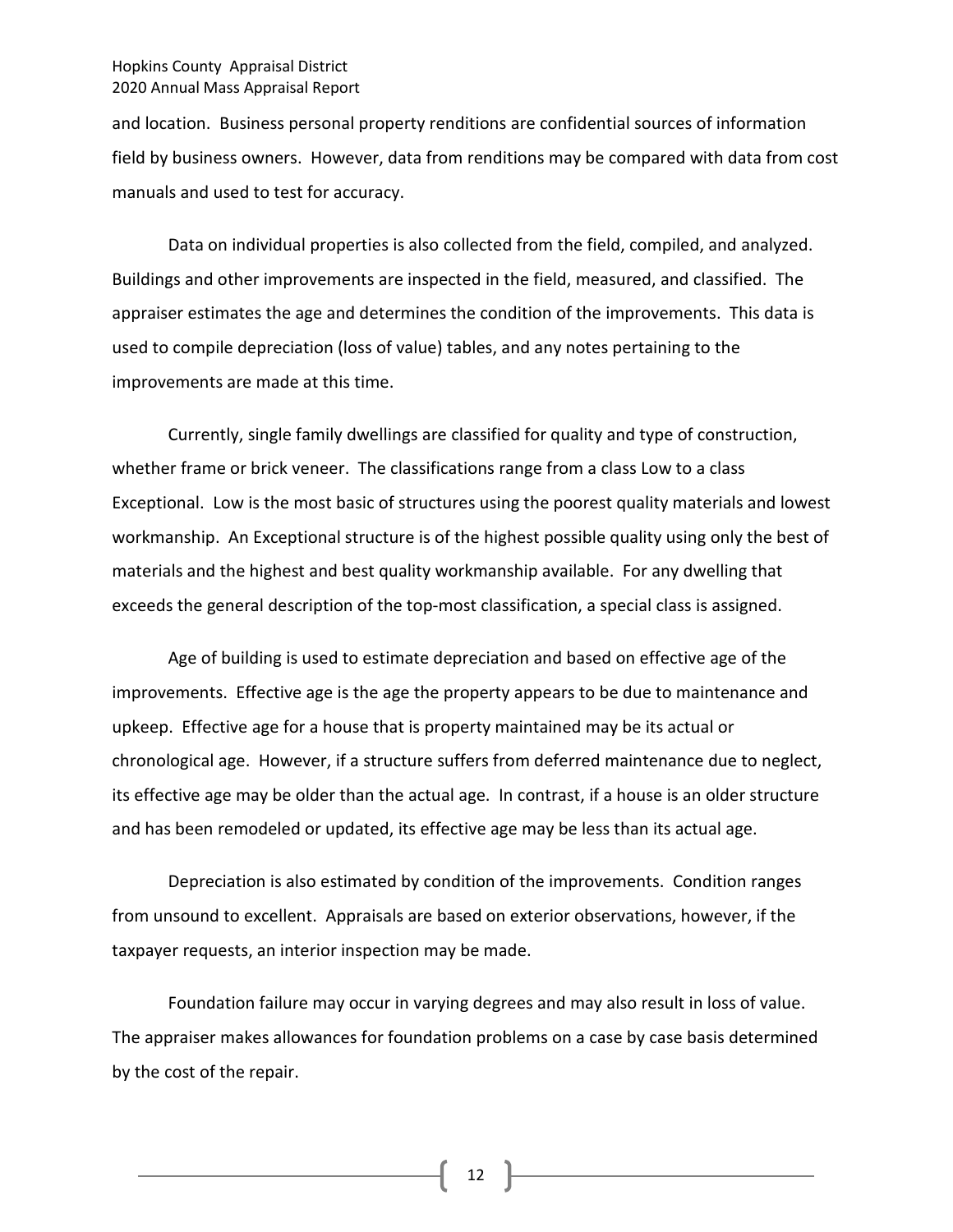#### Hopkins County Appraisal District 2020 Annual Mass Appraisal Report

and location. Business personal property renditions are confidential sources of information field by business owners. However, data from renditions may be compared with data from cost manuals and used to test for accuracy.

Data on individual properties is also collected from the field, compiled, and analyzed. Buildings and other improvements are inspected in the field, measured, and classified. The appraiser estimates the age and determines the condition of the improvements. This data is used to compile depreciation (loss of value) tables, and any notes pertaining to the improvements are made at this time.

Currently, single family dwellings are classified for quality and type of construction, whether frame or brick veneer. The classifications range from a class Low to a class Exceptional. Low is the most basic of structures using the poorest quality materials and lowest workmanship. An Exceptional structure is of the highest possible quality using only the best of materials and the highest and best quality workmanship available. For any dwelling that exceeds the general description of the top-most classification, a special class is assigned.

Age of building is used to estimate depreciation and based on effective age of the improvements. Effective age is the age the property appears to be due to maintenance and upkeep. Effective age for a house that is property maintained may be its actual or chronological age. However, if a structure suffers from deferred maintenance due to neglect, its effective age may be older than the actual age. In contrast, if a house is an older structure and has been remodeled or updated, its effective age may be less than its actual age.

Depreciation is also estimated by condition of the improvements. Condition ranges from unsound to excellent. Appraisals are based on exterior observations, however, if the taxpayer requests, an interior inspection may be made.

Foundation failure may occur in varying degrees and may also result in loss of value. The appraiser makes allowances for foundation problems on a case by case basis determined by the cost of the repair.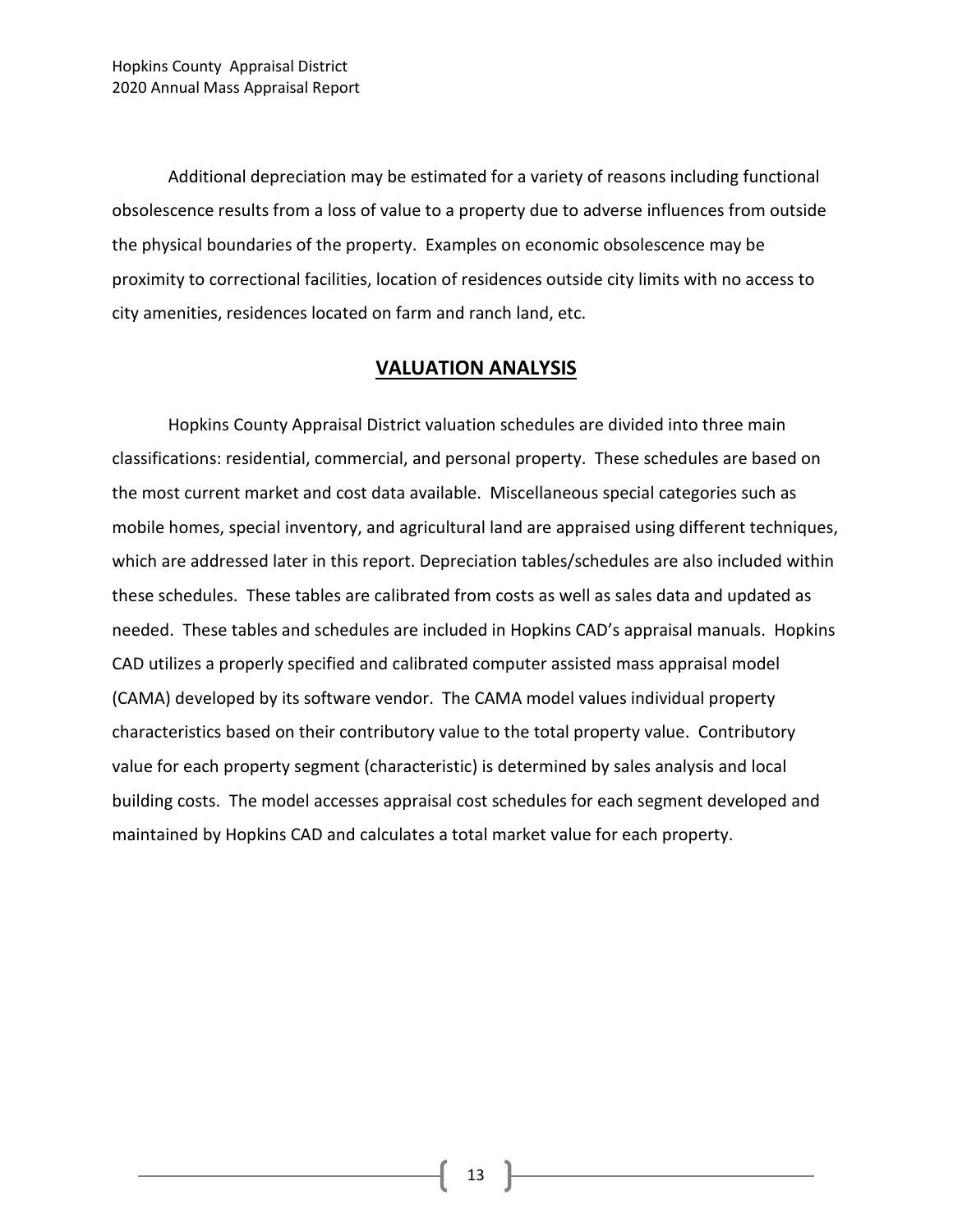Additional depreciation may be estimated for a variety of reasons including functional obsolescence results from a loss of value to a property due to adverse influences from outside the physical boundaries of the property. Examples on economic obsolescence may be proximity to correctional facilities, location of residences outside city limits with no access to city amenities, residences located on farm and ranch land, etc.

#### **VALUATION ANALYSIS**

Hopkins County Appraisal District valuation schedules are divided into three main classifications: residential, commercial, and personal property. These schedules are based on the most current market and cost data available. Miscellaneous special categories such as mobile homes, special inventory, and agricultural land are appraised using different techniques, which are addressed later in this report. Depreciation tables/schedules are also included within these schedules. These tables are calibrated from costs as well as sales data and updated as needed. These tables and schedules are included in Hopkins CAD's appraisal manuals. Hopkins CAD utilizes a properly specified and calibrated computer assisted mass appraisal model (CAMA) developed by its software vendor. The CAMA model values individual property characteristics based on their contributory value to the total property value. Contributory value for each property segment (characteristic) is determined by sales analysis and local building costs. The model accesses appraisal cost schedules for each segment developed and maintained by Hopkins CAD and calculates a total market value for each property.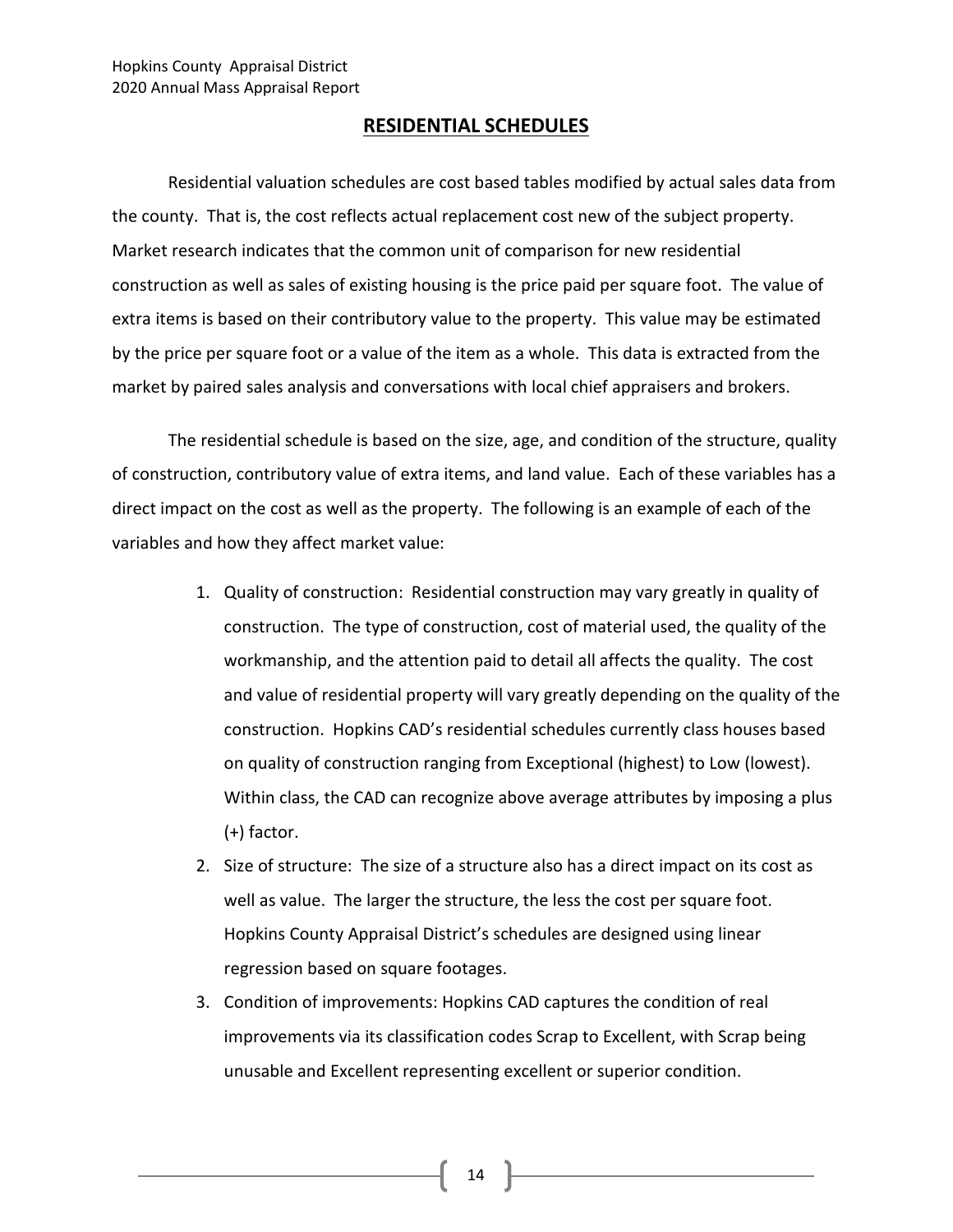#### **RESIDENTIAL SCHEDULES**

Residential valuation schedules are cost based tables modified by actual sales data from the county. That is, the cost reflects actual replacement cost new of the subject property. Market research indicates that the common unit of comparison for new residential construction as well as sales of existing housing is the price paid per square foot. The value of extra items is based on their contributory value to the property. This value may be estimated by the price per square foot or a value of the item as a whole. This data is extracted from the market by paired sales analysis and conversations with local chief appraisers and brokers.

The residential schedule is based on the size, age, and condition of the structure, quality of construction, contributory value of extra items, and land value. Each of these variables has a direct impact on the cost as well as the property. The following is an example of each of the variables and how they affect market value:

- 1. Quality of construction: Residential construction may vary greatly in quality of construction. The type of construction, cost of material used, the quality of the workmanship, and the attention paid to detail all affects the quality. The cost and value of residential property will vary greatly depending on the quality of the construction. Hopkins CAD's residential schedules currently class houses based on quality of construction ranging from Exceptional (highest) to Low (lowest). Within class, the CAD can recognize above average attributes by imposing a plus (+) factor.
- 2. Size of structure: The size of a structure also has a direct impact on its cost as well as value. The larger the structure, the less the cost per square foot. Hopkins County Appraisal District's schedules are designed using linear regression based on square footages.
- 3. Condition of improvements: Hopkins CAD captures the condition of real improvements via its classification codes Scrap to Excellent, with Scrap being unusable and Excellent representing excellent or superior condition.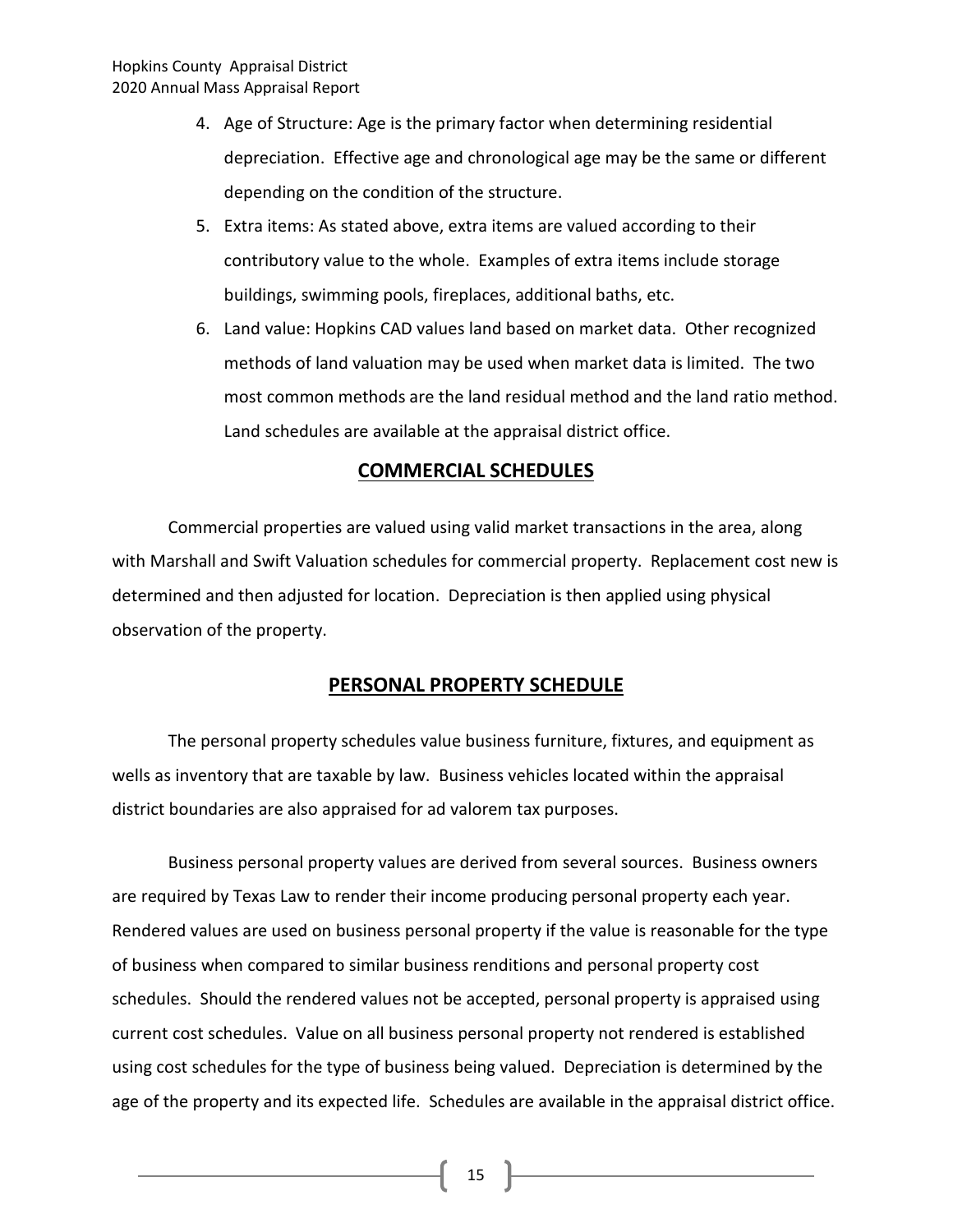- 4. Age of Structure: Age is the primary factor when determining residential depreciation. Effective age and chronological age may be the same or different depending on the condition of the structure.
- 5. Extra items: As stated above, extra items are valued according to their contributory value to the whole. Examples of extra items include storage buildings, swimming pools, fireplaces, additional baths, etc.
- 6. Land value: Hopkins CAD values land based on market data. Other recognized methods of land valuation may be used when market data is limited. The two most common methods are the land residual method and the land ratio method. Land schedules are available at the appraisal district office.

#### **COMMERCIAL SCHEDULES**

Commercial properties are valued using valid market transactions in the area, along with Marshall and Swift Valuation schedules for commercial property. Replacement cost new is determined and then adjusted for location. Depreciation is then applied using physical observation of the property.

#### **PERSONAL PROPERTY SCHEDULE**

The personal property schedules value business furniture, fixtures, and equipment as wells as inventory that are taxable by law. Business vehicles located within the appraisal district boundaries are also appraised for ad valorem tax purposes.

Business personal property values are derived from several sources. Business owners are required by Texas Law to render their income producing personal property each year. Rendered values are used on business personal property if the value is reasonable for the type of business when compared to similar business renditions and personal property cost schedules. Should the rendered values not be accepted, personal property is appraised using current cost schedules. Value on all business personal property not rendered is established using cost schedules for the type of business being valued. Depreciation is determined by the age of the property and its expected life. Schedules are available in the appraisal district office.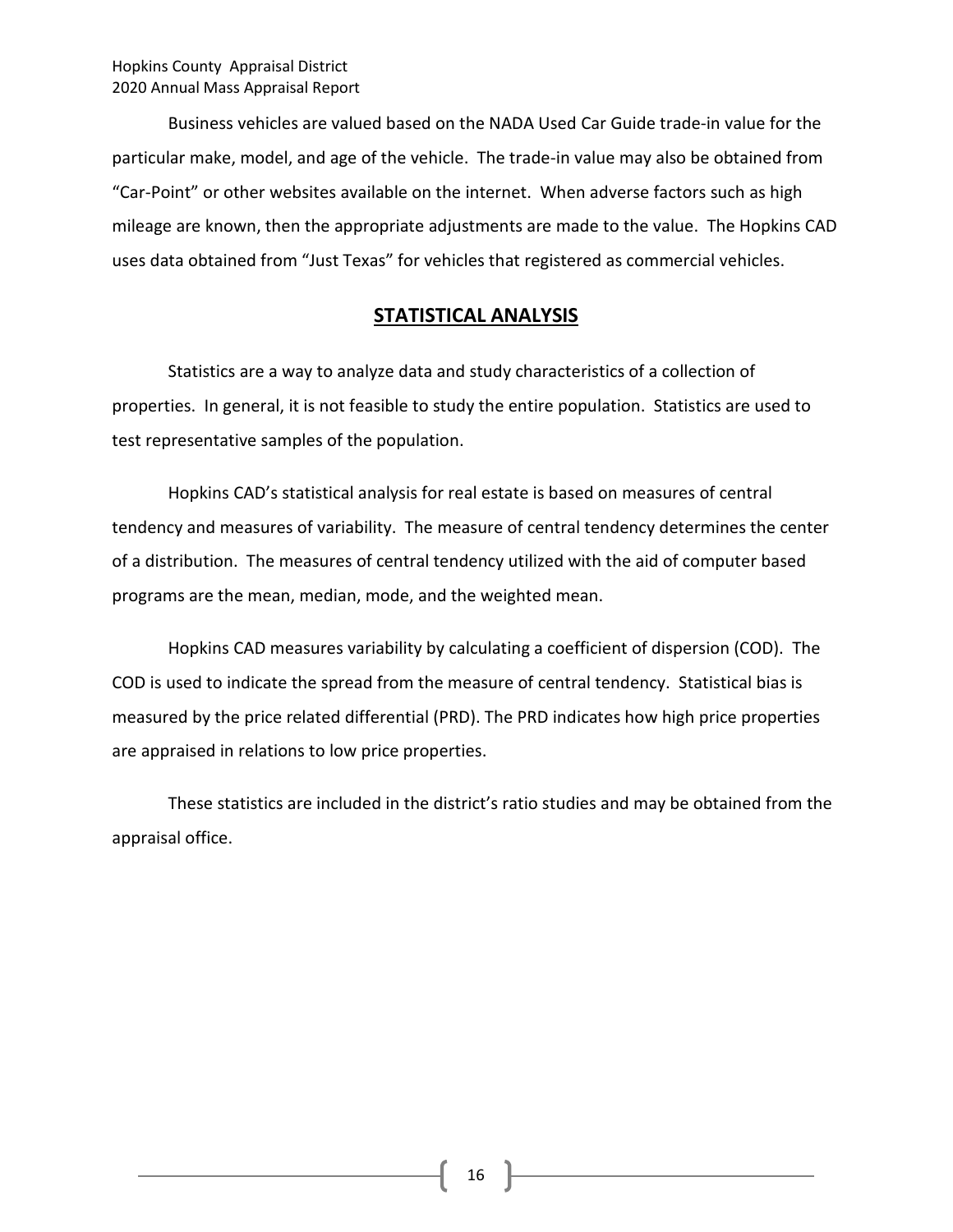Business vehicles are valued based on the NADA Used Car Guide trade-in value for the particular make, model, and age of the vehicle. The trade-in value may also be obtained from "Car-Point" or other websites available on the internet. When adverse factors such as high mileage are known, then the appropriate adjustments are made to the value. The Hopkins CAD uses data obtained from "Just Texas" for vehicles that registered as commercial vehicles.

#### **STATISTICAL ANALYSIS**

Statistics are a way to analyze data and study characteristics of a collection of properties. In general, it is not feasible to study the entire population. Statistics are used to test representative samples of the population.

Hopkins CAD's statistical analysis for real estate is based on measures of central tendency and measures of variability. The measure of central tendency determines the center of a distribution. The measures of central tendency utilized with the aid of computer based programs are the mean, median, mode, and the weighted mean.

Hopkins CAD measures variability by calculating a coefficient of dispersion (COD). The COD is used to indicate the spread from the measure of central tendency. Statistical bias is measured by the price related differential (PRD). The PRD indicates how high price properties are appraised in relations to low price properties.

These statistics are included in the district's ratio studies and may be obtained from the appraisal office.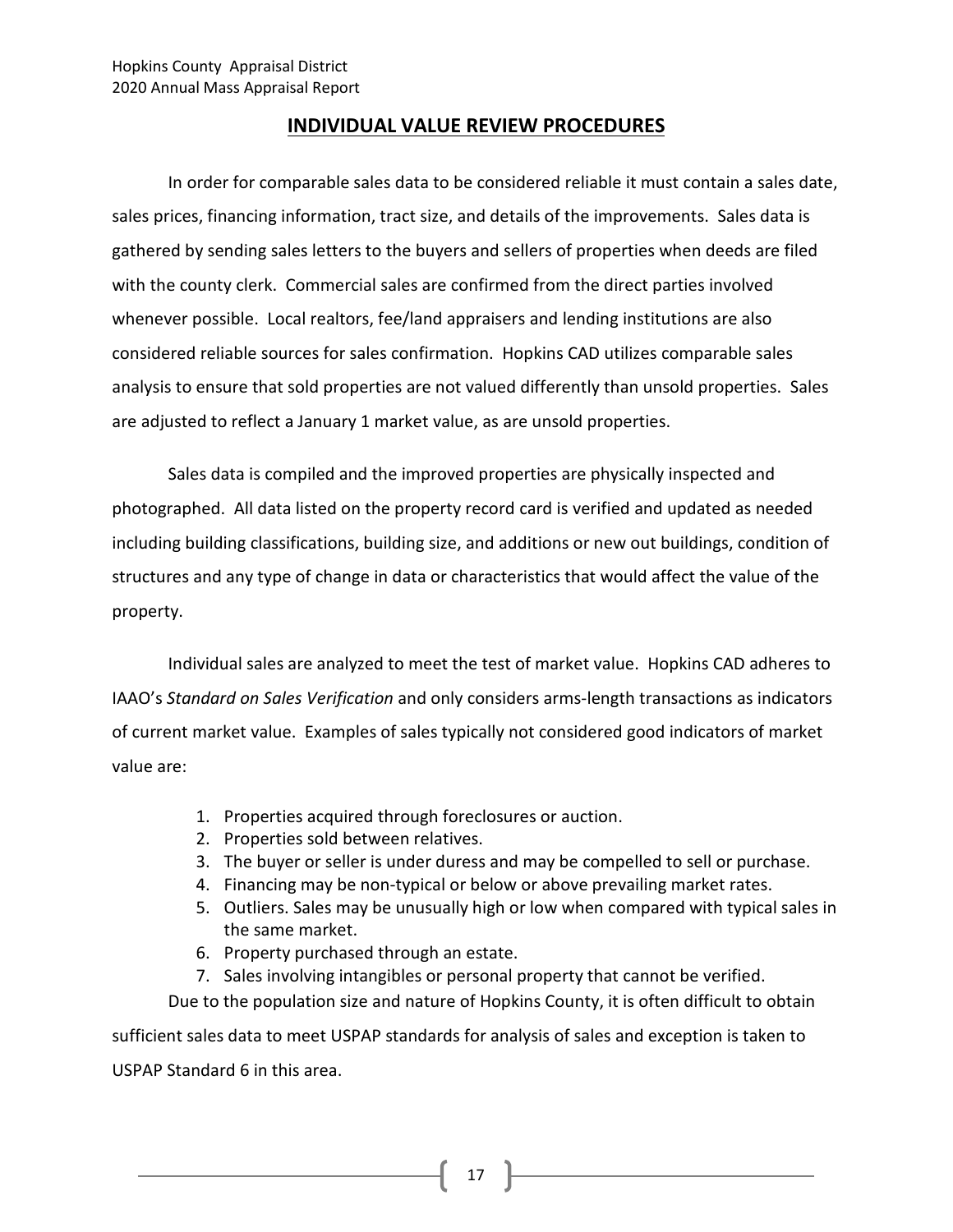#### **INDIVIDUAL VALUE REVIEW PROCEDURES**

In order for comparable sales data to be considered reliable it must contain a sales date, sales prices, financing information, tract size, and details of the improvements. Sales data is gathered by sending sales letters to the buyers and sellers of properties when deeds are filed with the county clerk. Commercial sales are confirmed from the direct parties involved whenever possible. Local realtors, fee/land appraisers and lending institutions are also considered reliable sources for sales confirmation. Hopkins CAD utilizes comparable sales analysis to ensure that sold properties are not valued differently than unsold properties. Sales are adjusted to reflect a January 1 market value, as are unsold properties.

Sales data is compiled and the improved properties are physically inspected and photographed. All data listed on the property record card is verified and updated as needed including building classifications, building size, and additions or new out buildings, condition of structures and any type of change in data or characteristics that would affect the value of the property.

Individual sales are analyzed to meet the test of market value. Hopkins CAD adheres to IAAO's *Standard on Sales Verification* and only considers arms-length transactions as indicators of current market value. Examples of sales typically not considered good indicators of market value are:

- 1. Properties acquired through foreclosures or auction.
- 2. Properties sold between relatives.
- 3. The buyer or seller is under duress and may be compelled to sell or purchase.
- 4. Financing may be non-typical or below or above prevailing market rates.
- 5. Outliers. Sales may be unusually high or low when compared with typical sales in the same market.
- 6. Property purchased through an estate.
- 7. Sales involving intangibles or personal property that cannot be verified.

Due to the population size and nature of Hopkins County, it is often difficult to obtain sufficient sales data to meet USPAP standards for analysis of sales and exception is taken to USPAP Standard 6 in this area.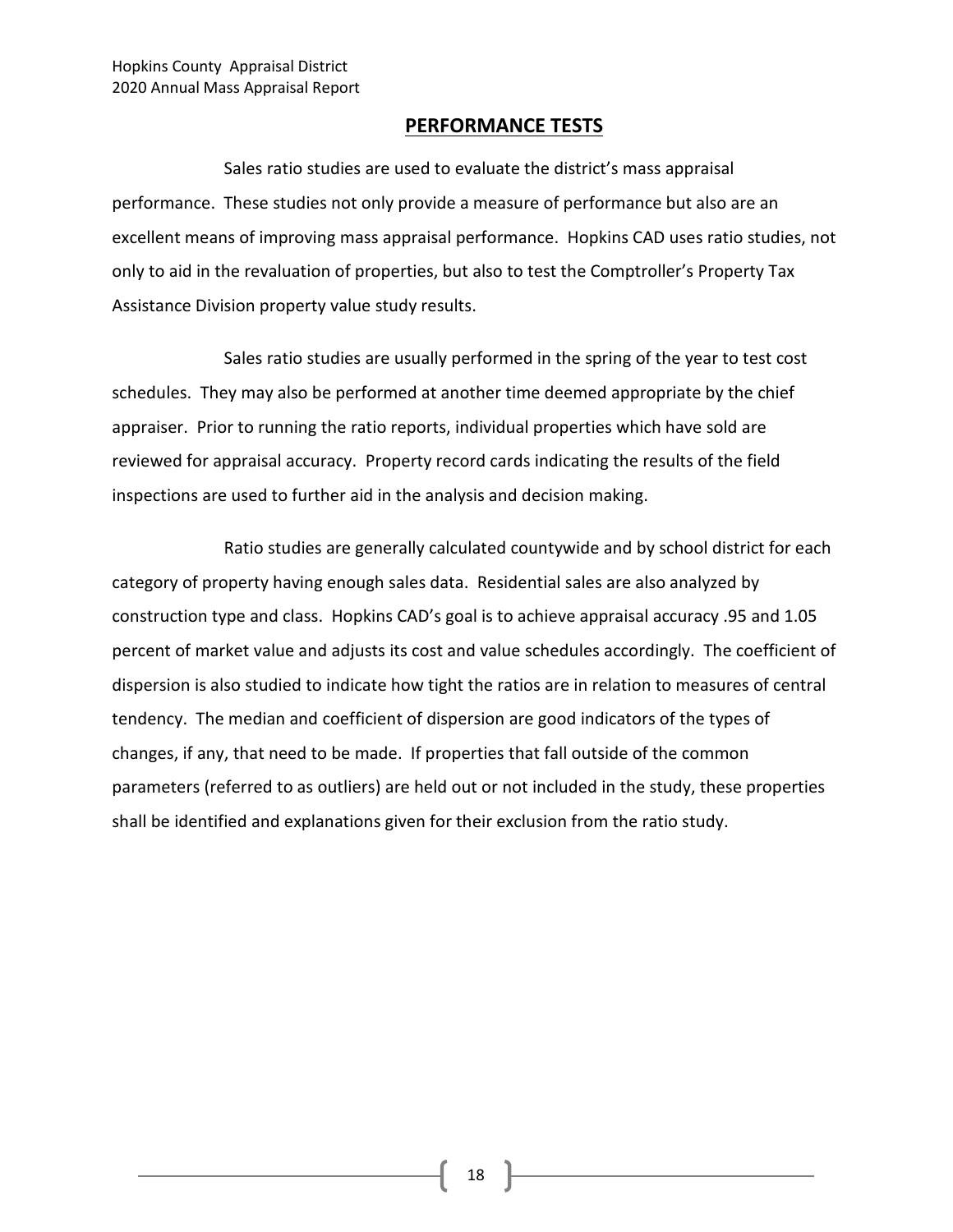#### **PERFORMANCE TESTS**

Sales ratio studies are used to evaluate the district's mass appraisal performance. These studies not only provide a measure of performance but also are an excellent means of improving mass appraisal performance. Hopkins CAD uses ratio studies, not only to aid in the revaluation of properties, but also to test the Comptroller's Property Tax Assistance Division property value study results.

Sales ratio studies are usually performed in the spring of the year to test cost schedules. They may also be performed at another time deemed appropriate by the chief appraiser. Prior to running the ratio reports, individual properties which have sold are reviewed for appraisal accuracy. Property record cards indicating the results of the field inspections are used to further aid in the analysis and decision making.

Ratio studies are generally calculated countywide and by school district for each category of property having enough sales data. Residential sales are also analyzed by construction type and class. Hopkins CAD's goal is to achieve appraisal accuracy .95 and 1.05 percent of market value and adjusts its cost and value schedules accordingly. The coefficient of dispersion is also studied to indicate how tight the ratios are in relation to measures of central tendency. The median and coefficient of dispersion are good indicators of the types of changes, if any, that need to be made. If properties that fall outside of the common parameters (referred to as outliers) are held out or not included in the study, these properties shall be identified and explanations given for their exclusion from the ratio study.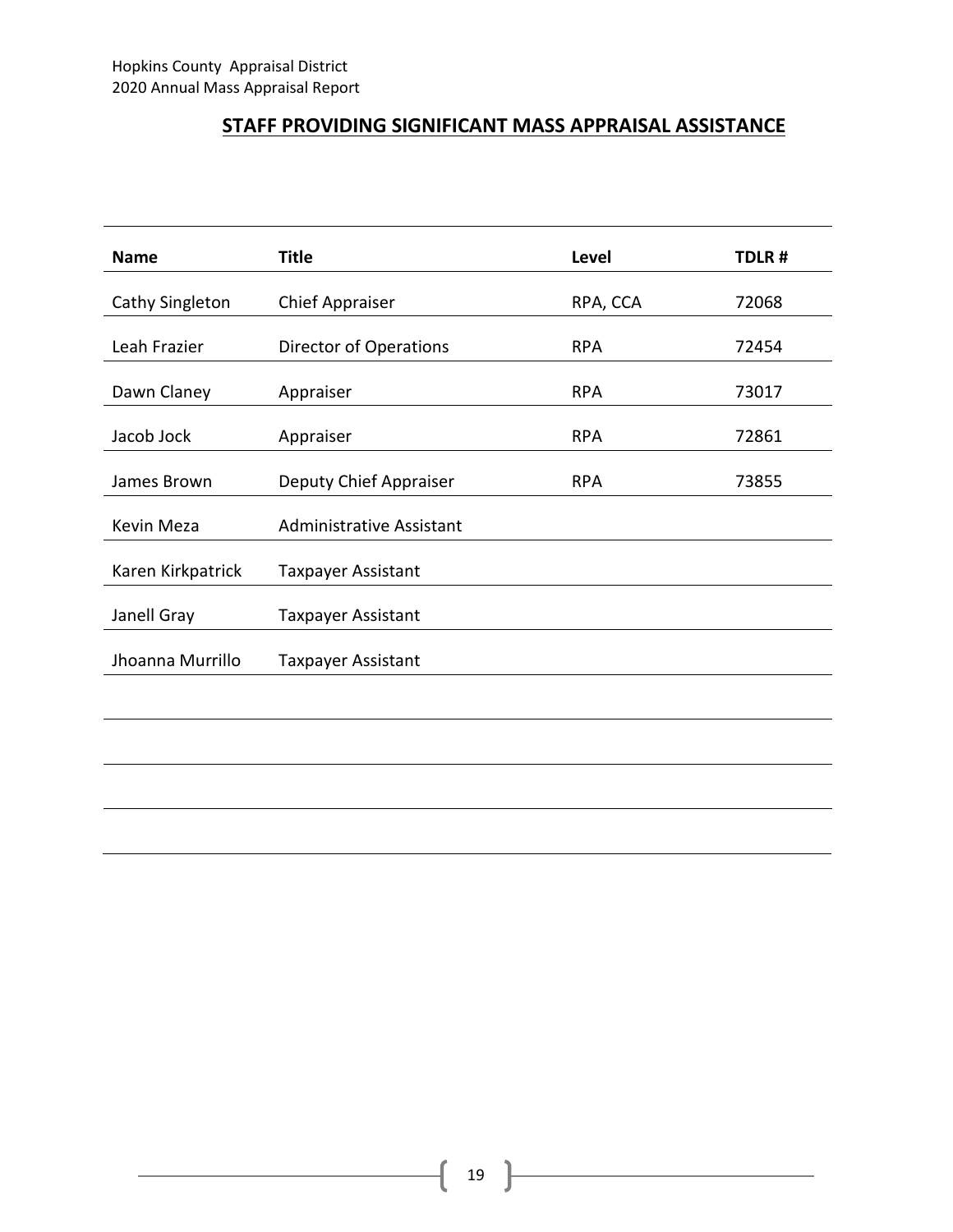#### **STAFF PROVIDING SIGNIFICANT MASS APPRAISAL ASSISTANCE**

| <b>Name</b>       | <b>Title</b>                    | <b>Level</b> | TDLR# |
|-------------------|---------------------------------|--------------|-------|
| Cathy Singleton   | <b>Chief Appraiser</b>          | RPA, CCA     | 72068 |
| Leah Frazier      | <b>Director of Operations</b>   | <b>RPA</b>   | 72454 |
| Dawn Claney       | Appraiser                       | <b>RPA</b>   | 73017 |
| Jacob Jock        | Appraiser                       | <b>RPA</b>   | 72861 |
| James Brown       | Deputy Chief Appraiser          | <b>RPA</b>   | 73855 |
| Kevin Meza        | <b>Administrative Assistant</b> |              |       |
| Karen Kirkpatrick | <b>Taxpayer Assistant</b>       |              |       |
| Janell Gray       | <b>Taxpayer Assistant</b>       |              |       |
| Jhoanna Murrillo  | Taxpayer Assistant              |              |       |
|                   |                                 |              |       |
|                   |                                 |              |       |
|                   |                                 |              |       |